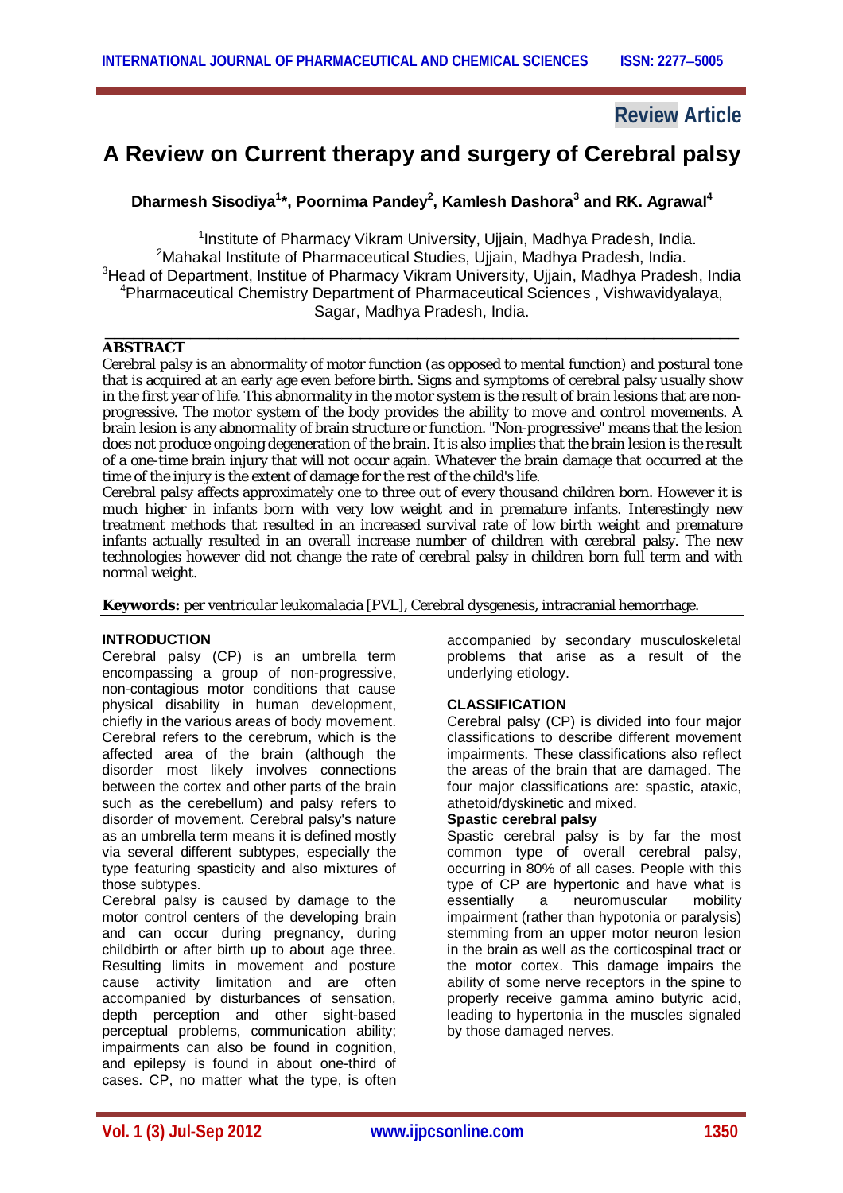# **Review Article**

# **A Review on Current therapy and surgery of Cerebral palsy**

# **Dharmesh Sisodiya<sup>1</sup> \*, Poornima Pandey<sup>2</sup> , Kamlesh Dashora<sup>3</sup> and RK. Agrawal<sup>4</sup>**

<sup>1</sup>Institute of Pharmacy Vikram University, Ujjain, Madhya Pradesh, India. <sup>2</sup>Mahakal Institute of Pharmaceutical Studies, Ujjain, Madhya Pradesh, India. <sup>3</sup>Head of Department, Institue of Pharmacy Vikram University, Ujjain, Madhya Pradesh, India <sup>4</sup>Pharmaceutical Chemistry Department of Pharmaceutical Sciences , Vishwavidyalaya, Sagar, Madhya Pradesh, India.

# \_\_\_\_\_\_\_\_\_\_\_\_\_\_\_\_\_\_\_\_\_\_\_\_\_\_\_\_\_\_\_\_\_\_\_\_\_\_\_\_\_\_\_\_\_\_\_\_\_\_\_\_\_\_\_\_\_\_\_\_\_\_\_\_\_\_\_ **ABSTRACT**

Cerebral palsy is an abnormality of motor function (as opposed to mental function) and postural tone that is acquired at an early age even before birth. Signs and symptoms of cerebral palsy usually show in the first year of life. This abnormality in the motor system is the result of brain lesions that are nonprogressive. The motor system of the body provides the ability to move and control movements. A brain lesion is any abnormality of brain structure or function. "Non-progressive" means that the lesion does not produce ongoing degeneration of the brain. It is also implies that the brain lesion is the result of a one-time brain injury that will not occur again. Whatever the brain damage that occurred at the time of the injury is the extent of damage for the rest of the child's life.

Cerebral palsy affects approximately one to three out of every thousand children born. However it is much higher in infants born with very low weight and in premature infants. Interestingly new treatment methods that resulted in an increased survival rate of low birth weight and premature infants actually resulted in an overall increase number of children with cerebral palsy. The new technologies however did not change the rate of cerebral palsy in children born full term and with normal weight.

**Keywords:** per ventricular leukomalacia [PVL], Cerebral dysgenesis, intracranial hemorrhage.

#### **INTRODUCTION**

Cerebral palsy (CP) is an umbrella term encompassing a group of non-progressive, non-contagious motor conditions that cause physical disability in human development, chiefly in the various areas of body movement. Cerebral refers to the cerebrum, which is the affected area of the brain (although the disorder most likely involves connections between the cortex and other parts of the brain such as the cerebellum) and palsy refers to disorder of movement. Cerebral palsy's nature as an umbrella term means it is defined mostly via several different subtypes, especially the type featuring spasticity and also mixtures of those subtypes.

Cerebral palsy is caused by damage to the motor control centers of the developing brain and can occur during pregnancy, during childbirth or after birth up to about age three. Resulting limits in movement and posture cause activity limitation and are often accompanied by disturbances of sensation, depth perception and other sight-based perceptual problems, communication ability; impairments can also be found in cognition, and epilepsy is found in about one-third of cases. CP, no matter what the type, is often accompanied by secondary musculoskeletal problems that arise as a result of the underlying etiology.

# **CLASSIFICATION**

Cerebral palsy (CP) is divided into four major classifications to describe different movement impairments. These classifications also reflect the areas of the brain that are damaged. The four major classifications are: spastic, ataxic, athetoid/dyskinetic and mixed.

#### **Spastic cerebral palsy**

Spastic cerebral palsy is by far the most common type of overall cerebral palsy, occurring in 80% of all cases. People with this type of CP are hypertonic and have what is<br>essentially a neuromuscular mobility a neuromuscular mobility impairment (rather than hypotonia or paralysis) stemming from an upper motor neuron lesion in the brain as well as the corticospinal tract or the motor cortex. This damage impairs the ability of some nerve receptors in the spine to properly receive gamma amino butyric acid, leading to hypertonia in the muscles signaled by those damaged nerves.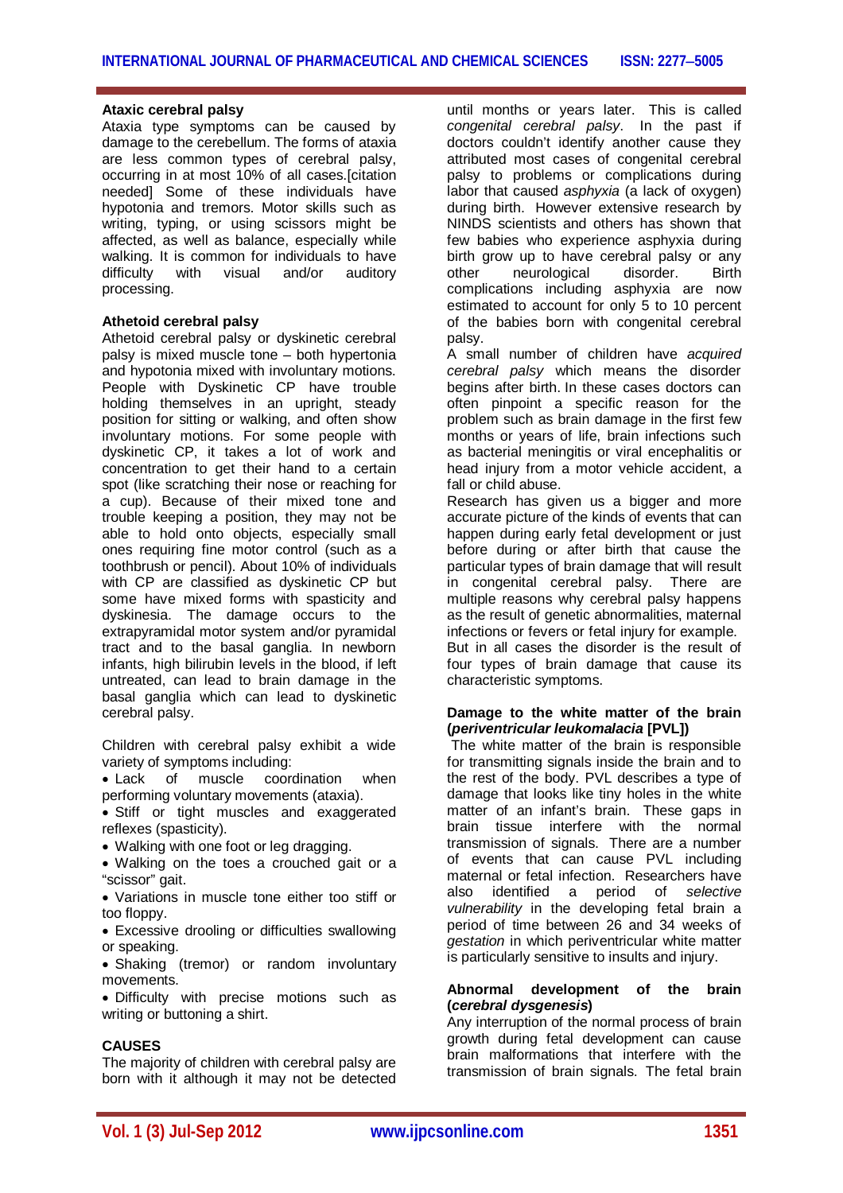#### **Ataxic cerebral palsy**

Ataxia type symptoms can be caused by damage to the cerebellum. The forms of ataxia are less common types of cerebral palsy, occurring in at most 10% of all cases.[citation needed] Some of these individuals have hypotonia and tremors. Motor skills such as writing, typing, or using scissors might be affected, as well as balance, especially while walking. It is common for individuals to have<br>difficulty with visual and/or auditory difficulty with visual and/or auditory processing.

#### **Athetoid cerebral palsy**

Athetoid cerebral palsy or dyskinetic cerebral palsy is mixed muscle tone – both hypertonia and hypotonia mixed with involuntary motions. People with Dyskinetic CP have trouble holding themselves in an upright, steady position for sitting or walking, and often show involuntary motions. For some people with dyskinetic CP, it takes a lot of work and concentration to get their hand to a certain spot (like scratching their nose or reaching for a cup). Because of their mixed tone and trouble keeping a position, they may not be able to hold onto objects, especially small ones requiring fine motor control (such as a toothbrush or pencil). About 10% of individuals with CP are classified as dyskinetic CP but some have mixed forms with spasticity and dyskinesia. The damage occurs to the extrapyramidal motor system and/or pyramidal tract and to the basal ganglia. In newborn infants, high bilirubin levels in the blood, if left untreated, can lead to brain damage in the basal ganglia which can lead to dyskinetic cerebral palsy.

Children with cerebral palsy exhibit a wide variety of symptoms including:

 Lack of muscle coordination when performing voluntary movements (ataxia).

 Stiff or tight muscles and exaggerated reflexes (spasticity).

• Walking with one foot or leg dragging.

 Walking on the toes a crouched gait or a "scissor" gait.

 Variations in muscle tone either too stiff or too floppy.

 Excessive drooling or difficulties swallowing or speaking.

 Shaking (tremor) or random involuntary movements.

 Difficulty with precise motions such as writing or buttoning a shirt.

#### **CAUSES**

The majority of children with cerebral palsy are born with it although it may not be detected until months or years later. This is called *congenital cerebral palsy*. In the past if doctors couldn't identify another cause they attributed most cases of congenital cerebral palsy to problems or complications during labor that caused *asphyxia* (a lack of oxygen) during birth. However extensive research by NINDS scientists and others has shown that few babies who experience asphyxia during birth grow up to have cerebral palsy or any other neurological disorder. Birth complications including asphyxia are now estimated to account for only 5 to 10 percent of the babies born with congenital cerebral palsy.

A small number of children have *acquired cerebral palsy* which means the disorder begins after birth. In these cases doctors can often pinpoint a specific reason for the problem such as brain damage in the first few months or years of life, brain infections such as bacterial meningitis or viral encephalitis or head injury from a motor vehicle accident, a fall or child abuse.

Research has given us a bigger and more accurate picture of the kinds of events that can happen during early fetal development or just before during or after birth that cause the particular types of brain damage that will result in congenital cerebral palsy. There are multiple reasons why cerebral palsy happens as the result of genetic abnormalities, maternal infections or fevers or fetal injury for example. But in all cases the disorder is the result of four types of brain damage that cause its characteristic symptoms.

#### **Damage to the white matter of the brain (***periventricular leukomalacia* **[PVL])**

The white matter of the brain is responsible for transmitting signals inside the brain and to the rest of the body. PVL describes a type of damage that looks like tiny holes in the white matter of an infant's brain. These gaps in brain tissue interfere with the normal transmission of signals. There are a number of events that can cause PVL including maternal or fetal infection. Researchers have<br>also identified a period of selective a period of *selective vulnerability* in the developing fetal brain a period of time between 26 and 34 weeks of *gestation* in which periventricular white matter is particularly sensitive to insults and injury.

#### **Abnormal development of the brain (***cerebral dysgenesis***)**

Any interruption of the normal process of brain growth during fetal development can cause brain malformations that interfere with the transmission of brain signals. The fetal brain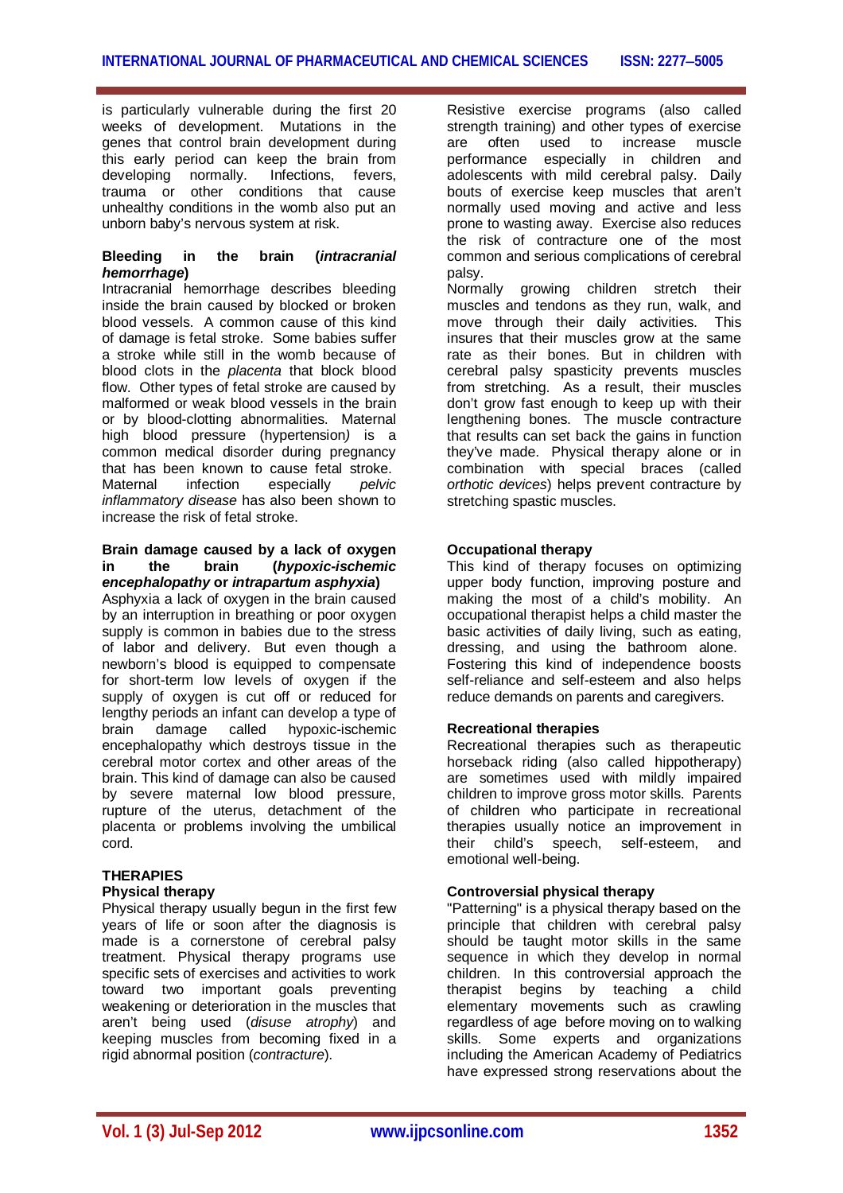is particularly vulnerable during the first 20 weeks of development. Mutations in the genes that control brain development during this early period can keep the brain from developing normally. Infections, fevers, trauma or other conditions that cause unhealthy conditions in the womb also put an unborn baby's nervous system at risk.

# **Bleeding in the brain (***intracranial hemorrhage***)**

Intracranial hemorrhage describes bleeding inside the brain caused by blocked or broken blood vessels. A common cause of this kind of damage is fetal stroke. Some babies suffer a stroke while still in the womb because of blood clots in the *placenta* that block blood flow. Other types of fetal stroke are caused by malformed or weak blood vessels in the brain or by blood-clotting abnormalities. Maternal high blood pressure (hypertension*)* is a common medical disorder during pregnancy that has been known to cause fetal stroke. Maternal infection especially *pelvic inflammatory disease* has also been shown to increase the risk of fetal stroke.

#### **Brain damage caused by a lack of oxygen in the brain (***hypoxic-ischemic encephalopathy* **or** *intrapartum asphyxia***)**

Asphyxia a lack of oxygen in the brain caused by an interruption in breathing or poor oxygen supply is common in babies due to the stress of labor and delivery. But even though a newborn's blood is equipped to compensate for short-term low levels of oxygen if the supply of oxygen is cut off or reduced for lengthy periods an infant can develop a type of brain damage called hypoxic-ischemic encephalopathy which destroys tissue in the cerebral motor cortex and other areas of the brain. This kind of damage can also be caused by severe maternal low blood pressure, rupture of the uterus, detachment of the placenta or problems involving the umbilical cord.

# **THERAPIES**

#### **Physical therapy**

Physical therapy usually begun in the first few years of life or soon after the diagnosis is made is a cornerstone of cerebral palsy treatment. Physical therapy programs use specific sets of exercises and activities to work toward two important goals preventing weakening or deterioration in the muscles that aren't being used (*disuse atrophy*) and keeping muscles from becoming fixed in a rigid abnormal position (*contracture*).

Resistive exercise programs (also called strength training) and other types of exercise are often used to increase muscle performance especially in children and adolescents with mild cerebral palsy. Daily bouts of exercise keep muscles that aren't normally used moving and active and less prone to wasting away. Exercise also reduces the risk of contracture one of the most common and serious complications of cerebral palsy.

Normally growing children stretch their muscles and tendons as they run, walk, and move through their daily activities. This insures that their muscles grow at the same rate as their bones. But in children with cerebral palsy spasticity prevents muscles from stretching. As a result, their muscles don't grow fast enough to keep up with their lengthening bones. The muscle contracture that results can set back the gains in function they've made. Physical therapy alone or in combination with special braces (called *orthotic devices*) helps prevent contracture by stretching spastic muscles.

# **Occupational therapy**

This kind of therapy focuses on optimizing upper body function, improving posture and making the most of a child's mobility. An occupational therapist helps a child master the basic activities of daily living, such as eating, dressing, and using the bathroom alone. Fostering this kind of independence boosts self-reliance and self-esteem and also helps reduce demands on parents and caregivers.

#### **Recreational therapies**

Recreational therapies such as therapeutic horseback riding (also called hippotherapy) are sometimes used with mildly impaired children to improve gross motor skills. Parents of children who participate in recreational therapies usually notice an improvement in<br>their child's speech, self-esteem, and their child's speech, self-esteem, emotional well-being.

#### **Controversial physical therapy**

"Patterning" is a physical therapy based on the principle that children with cerebral palsy should be taught motor skills in the same sequence in which they develop in normal children. In this controversial approach the therapist begins by teaching a child elementary movements such as crawling regardless of age before moving on to walking skills. Some experts and organizations including the American Academy of Pediatrics have expressed strong reservations about the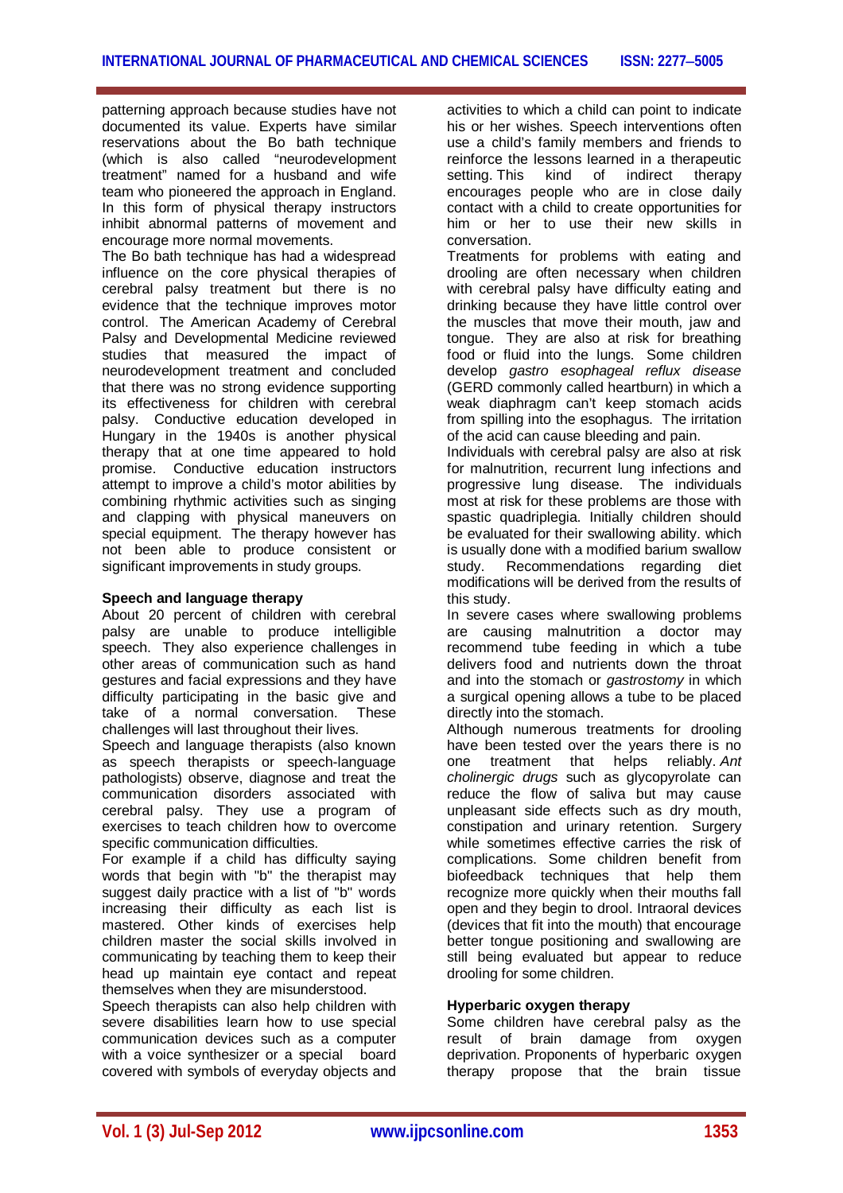patterning approach because studies have not documented its value. Experts have similar reservations about the Bo bath technique (which is also called "neurodevelopment treatment" named for a husband and wife team who pioneered the approach in England. In this form of physical therapy instructors inhibit abnormal patterns of movement and encourage more normal movements.

The Bo bath technique has had a widespread influence on the core physical therapies of cerebral palsy treatment but there is no evidence that the technique improves motor control. The American Academy of Cerebral Palsy and Developmental Medicine reviewed<br>studies that measured the impact of that measured the impact of neurodevelopment treatment and concluded that there was no strong evidence supporting its effectiveness for children with cerebral palsy. Conductive education developed in Hungary in the 1940s is another physical therapy that at one time appeared to hold promise. Conductive education instructors attempt to improve a child's motor abilities by combining rhythmic activities such as singing and clapping with physical maneuvers on special equipment. The therapy however has not been able to produce consistent or significant improvements in study groups.

# **Speech and language therapy**

About 20 percent of children with cerebral palsy are unable to produce intelligible speech. They also experience challenges in other areas of communication such as hand gestures and facial expressions and they have difficulty participating in the basic give and take of a normal conversation. These challenges will last throughout their lives.

Speech and language therapists (also known as speech therapists or speech-language pathologists) observe, diagnose and treat the communication disorders associated with cerebral palsy. They use a program of exercises to teach children how to overcome specific communication difficulties.

For example if a child has difficulty saying words that begin with "b" the therapist may suggest daily practice with a list of "b" words increasing their difficulty as each list is mastered. Other kinds of exercises help children master the social skills involved in communicating by teaching them to keep their head up maintain eye contact and repeat themselves when they are misunderstood.

Speech therapists can also help children with severe disabilities learn how to use special communication devices such as a computer with a voice synthesizer or a special board covered with symbols of everyday objects and

activities to which a child can point to indicate his or her wishes. Speech interventions often use a child's family members and friends to reinforce the lessons learned in a therapeutic setting. This kind of indirect therapy encourages people who are in close daily contact with a child to create opportunities for him or her to use their new skills in conversation.

Treatments for problems with eating and drooling are often necessary when children with cerebral palsy have difficulty eating and drinking because they have little control over the muscles that move their mouth, jaw and tongue. They are also at risk for breathing food or fluid into the lungs. Some children develop *gastro esophageal reflux disease* (GERD commonly called heartburn) in which a weak diaphragm can't keep stomach acids from spilling into the esophagus. The irritation of the acid can cause bleeding and pain.

Individuals with cerebral palsy are also at risk for malnutrition, recurrent lung infections and progressive lung disease. The individuals most at risk for these problems are those with spastic quadriplegia. Initially children should be evaluated for their swallowing ability. which is usually done with a modified barium swallow<br>study Becommendations regarding diet study. Recommendations regarding modifications will be derived from the results of this study.

In severe cases where swallowing problems are causing malnutrition a doctor may recommend tube feeding in which a tube delivers food and nutrients down the throat and into the stomach or *gastrostomy* in which a surgical opening allows a tube to be placed directly into the stomach.

Although numerous treatments for drooling have been tested over the years there is no one treatment that helps reliably. *Ant cholinergic drugs* such as glycopyrolate can reduce the flow of saliva but may cause unpleasant side effects such as dry mouth, constipation and urinary retention. Surgery while sometimes effective carries the risk of complications. Some children benefit from biofeedback techniques that help them recognize more quickly when their mouths fall open and they begin to drool. Intraoral devices (devices that fit into the mouth) that encourage better tongue positioning and swallowing are still being evaluated but appear to reduce drooling for some children.

#### **Hyperbaric oxygen therapy**

Some children have cerebral palsy as the result of brain damage from oxygen deprivation. Proponents of hyperbaric oxygen therapy propose that the brain tissue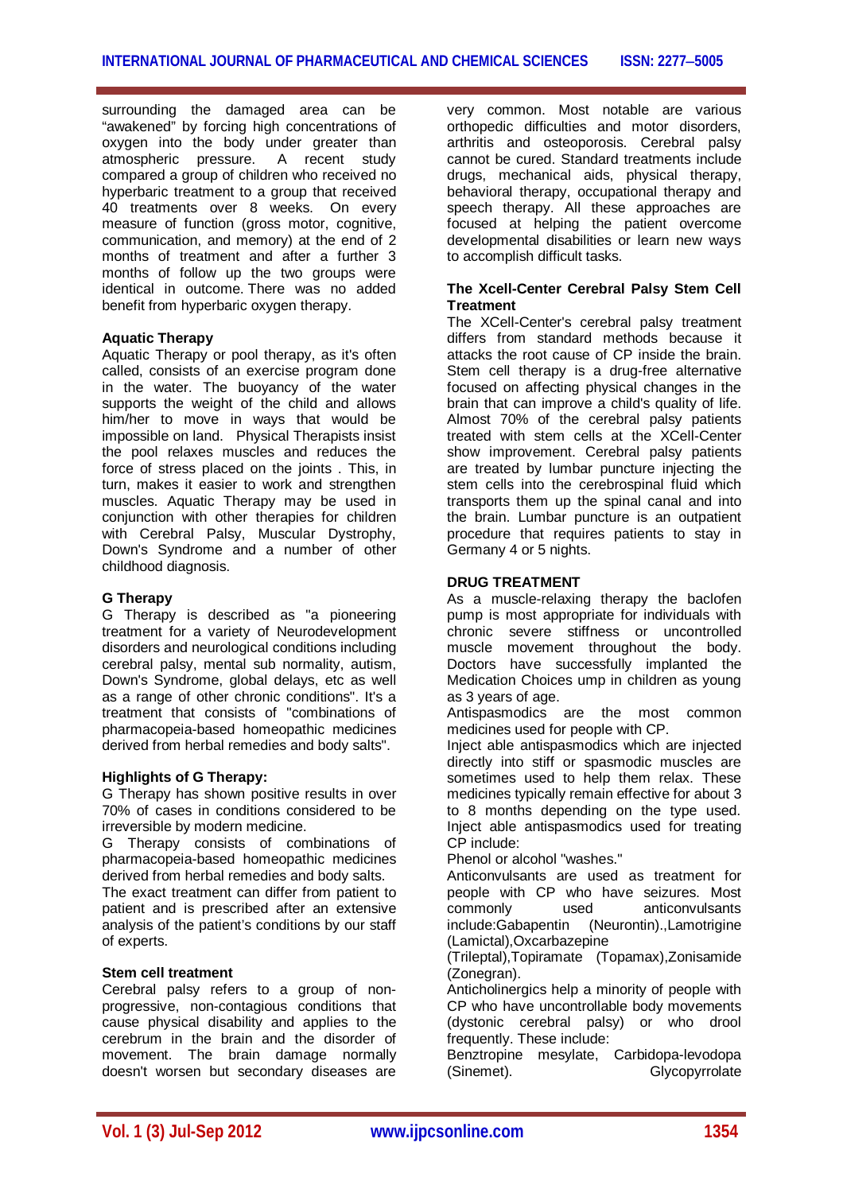surrounding the damaged area can be "awakened" by forcing high concentrations of oxygen into the body under greater than atmospheric pressure. A recent study compared a group of children who received no hyperbaric treatment to a group that received 40 treatments over 8 weeks. On every measure of function (gross motor, cognitive, communication, and memory) at the end of 2 months of treatment and after a further 3 months of follow up the two groups were identical in outcome. There was no added benefit from hyperbaric oxygen therapy.

# **Aquatic Therapy**

Aquatic Therapy or pool therapy, as it's often called, consists of an exercise program done in the water. The buoyancy of the water supports the weight of the child and allows him/her to move in ways that would be impossible on land. Physical Therapists insist the pool relaxes muscles and reduces the force of stress placed on the joints . This, in turn, makes it easier to work and strengthen muscles. Aquatic Therapy may be used in conjunction with other therapies for children with Cerebral Palsy, Muscular Dystrophy, Down's Syndrome and a number of other childhood diagnosis.

#### **G Therapy**

G Therapy is described as "a pioneering treatment for a variety of Neurodevelopment disorders and neurological conditions including cerebral palsy, mental sub normality, autism, Down's Syndrome, global delays, etc as well as a range of other chronic conditions". It's a treatment that consists of "combinations of pharmacopeia-based homeopathic medicines derived from herbal remedies and body salts".

#### **Highlights of G Therapy:**

G Therapy has shown positive results in over 70% of cases in conditions considered to be irreversible by modern medicine.

G Therapy consists of combinations of pharmacopeia-based homeopathic medicines derived from herbal remedies and body salts.

The exact treatment can differ from patient to patient and is prescribed after an extensive analysis of the patient's conditions by our staff of experts.

#### **Stem cell treatment**

Cerebral palsy refers to a group of nonprogressive, non-contagious conditions that cause physical disability and applies to the cerebrum in the brain and the disorder of movement. The brain damage normally doesn't worsen but secondary diseases are

very common. Most notable are various orthopedic difficulties and motor disorders, arthritis and osteoporosis. Cerebral palsy cannot be cured. Standard treatments include drugs, mechanical aids, physical therapy, behavioral therapy, occupational therapy and speech therapy. All these approaches are focused at helping the patient overcome developmental disabilities or learn new ways to accomplish difficult tasks.

# **The Xcell-Center Cerebral Palsy Stem Cell Treatment**

The XCell-Center's cerebral palsy treatment differs from standard methods because it attacks the root cause of CP inside the brain. Stem cell therapy is a drug-free alternative focused on affecting physical changes in the brain that can improve a child's quality of life. Almost 70% of the cerebral palsy patients treated with stem cells at the XCell-Center show improvement. Cerebral palsy patients are treated by lumbar puncture injecting the stem cells into the cerebrospinal fluid which transports them up the spinal canal and into the brain. Lumbar puncture is an outpatient procedure that requires patients to stay in Germany 4 or 5 nights.

# **DRUG TREATMENT**

As a muscle-relaxing therapy the baclofen pump is most appropriate for individuals with chronic severe stiffness or uncontrolled muscle movement throughout the body. Doctors have successfully implanted the Medication Choices ump in children as young as 3 years of age.

Antispasmodics are the most common medicines used for people with CP.

Inject able antispasmodics which are injected directly into stiff or spasmodic muscles are sometimes used to help them relax. These medicines typically remain effective for about 3 to 8 months depending on the type used. Inject able antispasmodics used for treating CP include:

Phenol or alcohol "washes."

Anticonvulsants are used as treatment for people with CP who have seizures. Most<br>commonly used anticonvulsants anticonvulsants include:Gabapentin (Neurontin).,Lamotrigine (Lamictal),Oxcarbazepine

(Trileptal),Topiramate (Topamax),Zonisamide (Zonegran).

Anticholinergics help a minority of people with CP who have uncontrollable body movements (dystonic cerebral palsy) or who drool frequently. These include:

Benztropine mesylate, Carbidopa-levodopa (Sinemet). Glycopyrrolate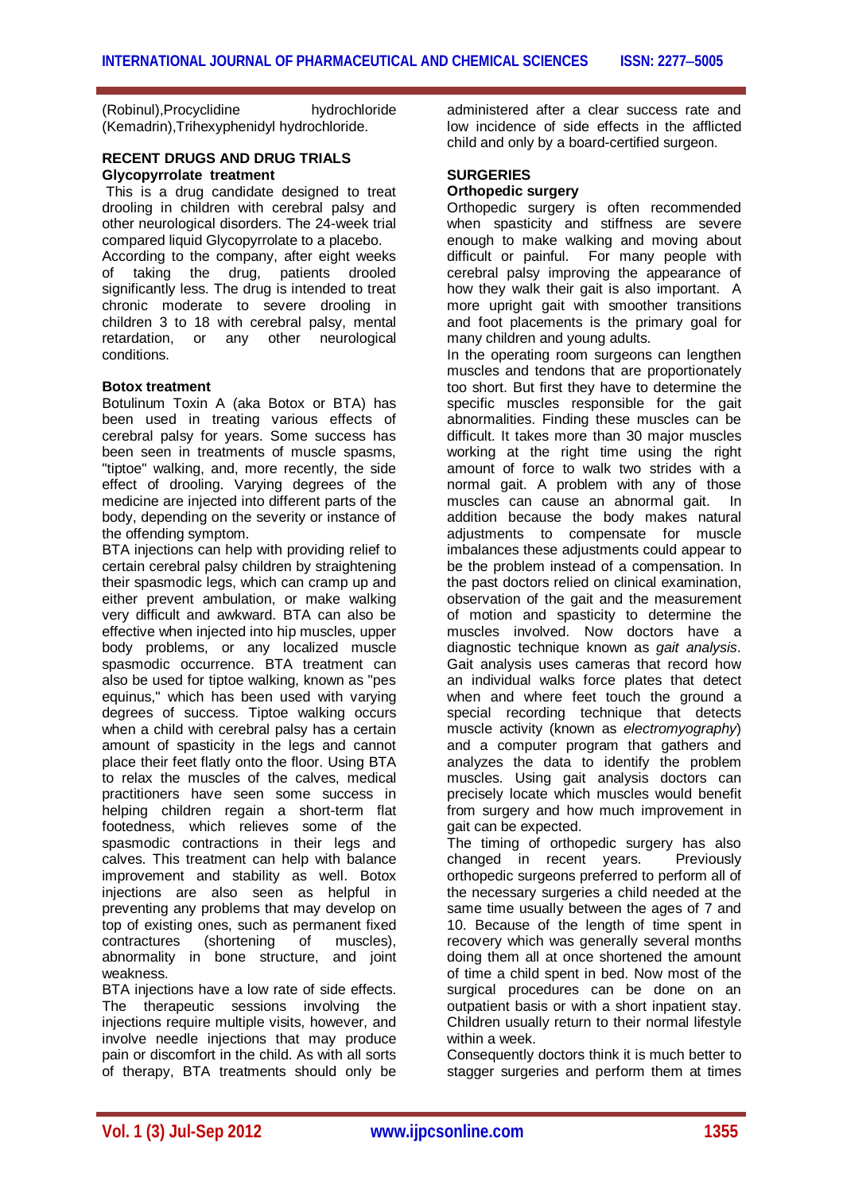(Robinul),Procyclidine hydrochloride (Kemadrin),Trihexyphenidyl hydrochloride.

#### **RECENT DRUGS AND DRUG TRIALS Glycopyrrolate treatment**

This is a drug candidate designed to treat drooling in children with cerebral palsy and other neurological disorders. The 24-week trial compared liquid Glycopyrrolate to a placebo. According to the company, after eight weeks of taking the drug, patients drooled significantly less. The drug is intended to treat chronic moderate to severe drooling in children 3 to 18 with cerebral palsy, mental retardation, or any other neurological conditions.

# **Botox treatment**

Botulinum Toxin A (aka Botox or BTA) has been used in treating various effects of cerebral palsy for years. Some success has been seen in treatments of muscle spasms, "tiptoe" walking, and, more recently, the side effect of drooling. Varying degrees of the medicine are injected into different parts of the body, depending on the severity or instance of the offending symptom.

BTA injections can help with providing relief to certain cerebral palsy children by straightening their spasmodic legs, which can cramp up and either prevent ambulation, or make walking very difficult and awkward. BTA can also be effective when injected into hip muscles, upper body problems, or any localized muscle spasmodic occurrence. BTA treatment can also be used for tiptoe walking, known as "pes equinus," which has been used with varying degrees of success. Tiptoe walking occurs when a child with cerebral palsy has a certain amount of spasticity in the legs and cannot place their feet flatly onto the floor. Using BTA to relax the muscles of the calves, medical practitioners have seen some success in helping children regain a short-term flat footedness, which relieves some of the spasmodic contractions in their legs and calves. This treatment can help with balance improvement and stability as well. Botox injections are also seen as helpful in preventing any problems that may develop on top of existing ones, such as permanent fixed contractures (shortening of muscles), abnormality in bone structure, and joint weakness.

BTA injections have a low rate of side effects. The therapeutic sessions involving the injections require multiple visits, however, and involve needle injections that may produce pain or discomfort in the child. As with all sorts of therapy, BTA treatments should only be

administered after a clear success rate and low incidence of side effects in the afflicted child and only by a board-certified surgeon.

# **SURGERIES**

# **Orthopedic surgery**

Orthopedic surgery is often recommended when spasticity and stiffness are severe enough to make walking and moving about difficult or painful. For many people with cerebral palsy improving the appearance of how they walk their gait is also important. A more upright gait with smoother transitions and foot placements is the primary goal for many children and young adults.

In the operating room surgeons can lengthen muscles and tendons that are proportionately too short. But first they have to determine the specific muscles responsible for the gait abnormalities. Finding these muscles can be difficult. It takes more than 30 major muscles working at the right time using the right amount of force to walk two strides with a normal gait. A problem with any of those muscles can cause an abnormal gait. In addition because the body makes natural adjustments to compensate for muscle imbalances these adjustments could appear to be the problem instead of a compensation. In the past doctors relied on clinical examination, observation of the gait and the measurement of motion and spasticity to determine the muscles involved. Now doctors have a diagnostic technique known as *gait analysis*. Gait analysis uses cameras that record how an individual walks force plates that detect when and where feet touch the ground a special recording technique that detects muscle activity (known as *electromyography*) and a computer program that gathers and analyzes the data to identify the problem muscles. Using gait analysis doctors can precisely locate which muscles would benefit from surgery and how much improvement in gait can be expected.

The timing of orthopedic surgery has also changed in recent years. Previously orthopedic surgeons preferred to perform all of the necessary surgeries a child needed at the same time usually between the ages of 7 and 10. Because of the length of time spent in recovery which was generally several months doing them all at once shortened the amount of time a child spent in bed. Now most of the surgical procedures can be done on an outpatient basis or with a short inpatient stay. Children usually return to their normal lifestyle within a week.

Consequently doctors think it is much better to stagger surgeries and perform them at times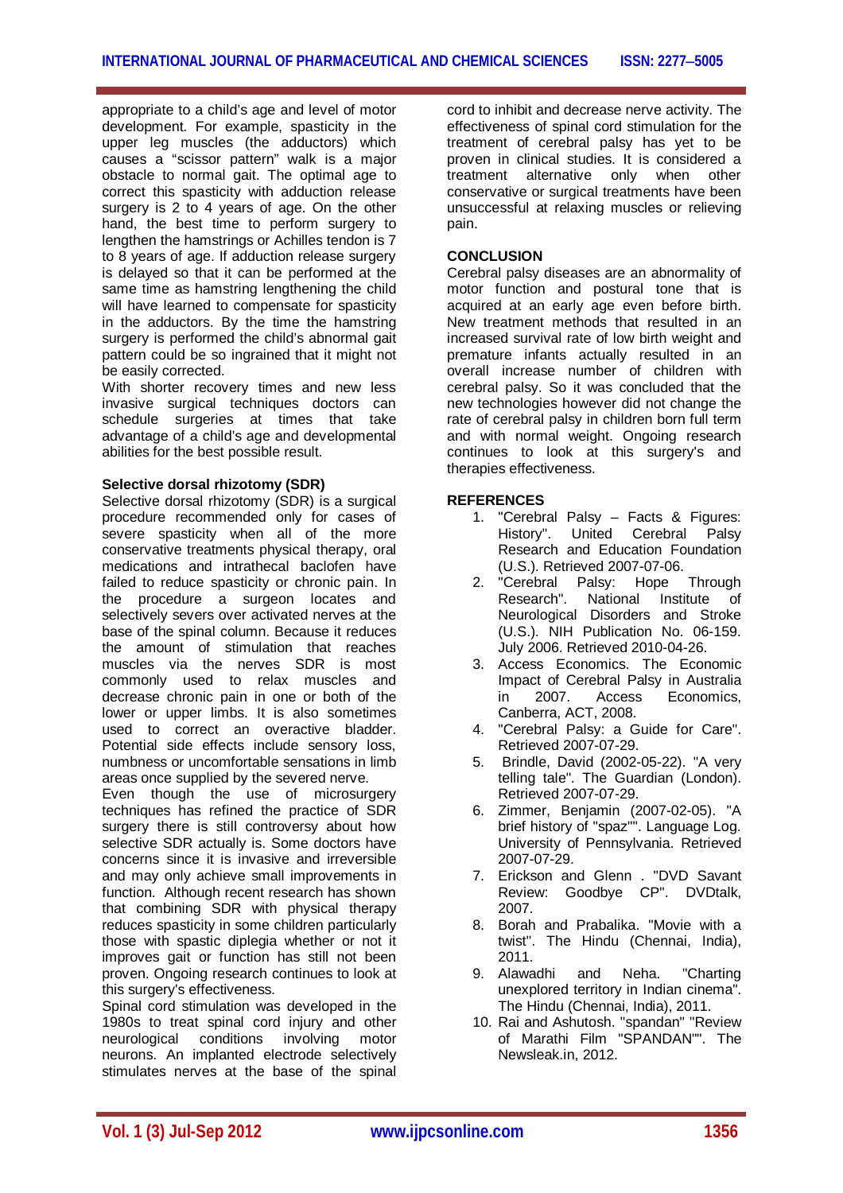appropriate to a child's age and level of motor development. For example, spasticity in the upper leg muscles (the adductors) which causes a "scissor pattern" walk is a major obstacle to normal gait. The optimal age to correct this spasticity with adduction release surgery is 2 to 4 years of age. On the other hand, the best time to perform surgery to lengthen the hamstrings or Achilles tendon is 7 to 8 years of age. If adduction release surgery is delayed so that it can be performed at the same time as hamstring lengthening the child will have learned to compensate for spasticity in the adductors. By the time the hamstring surgery is performed the child's abnormal gait pattern could be so ingrained that it might not be easily corrected.

With shorter recovery times and new less invasive surgical techniques doctors can schedule surgeries at times that take advantage of a child's age and developmental abilities for the best possible result.

#### **Selective dorsal rhizotomy (SDR)**

Selective dorsal rhizotomy (SDR) is a surgical procedure recommended only for cases of severe spasticity when all of the more conservative treatments physical therapy, oral medications and intrathecal baclofen have failed to reduce spasticity or chronic pain. In the procedure a surgeon locates and selectively severs over activated nerves at the base of the spinal column. Because it reduces the amount of stimulation that reaches muscles via the nerves SDR is most commonly used to relax muscles and decrease chronic pain in one or both of the lower or upper limbs. It is also sometimes used to correct an overactive bladder. Potential side effects include sensory loss, numbness or uncomfortable sensations in limb areas once supplied by the severed nerve.

Even though the use of microsurgery techniques has refined the practice of SDR surgery there is still controversy about how selective SDR actually is. Some doctors have concerns since it is invasive and irreversible and may only achieve small improvements in function. Although recent research has shown that combining SDR with physical therapy reduces spasticity in some children particularly those with spastic diplegia whether or not it improves gait or function has still not been proven. Ongoing research continues to look at this surgery's effectiveness.

Spinal cord stimulation was developed in the 1980s to treat spinal cord injury and other<br>neurological conditions involving motor neurological conditions involving motor neurons. An implanted electrode selectively stimulates nerves at the base of the spinal cord to inhibit and decrease nerve activity. The effectiveness of spinal cord stimulation for the treatment of cerebral palsy has yet to be proven in clinical studies. It is considered a treatment alternative only when other conservative or surgical treatments have been unsuccessful at relaxing muscles or relieving pain.

# **CONCLUSION**

Cerebral palsy diseases are an abnormality of motor function and postural tone that is acquired at an early age even before birth. New treatment methods that resulted in an increased survival rate of low birth weight and premature infants actually resulted in an overall increase number of children with cerebral palsy. So it was concluded that the new technologies however did not change the rate of cerebral palsy in children born full term and with normal weight. Ongoing research continues to look at this surgery's and therapies effectiveness.

# **REFERENCES**

- 1. "Cerebral Palsy Facts & Figures: History". United Cerebral Palsy Research and Education Foundation (U.S.). Retrieved 2007-07-06.
- 2. "Cerebral Palsy: Hope Through Research". National Institute of Neurological Disorders and Stroke (U.S.). NIH Publication No. 06-159. July 2006. Retrieved 2010-04-26.
- 3. Access Economics. The Economic Impact of Cerebral Palsy in Australia<br>in 2007. Access Economics. in 2007. Access Economics, Canberra, ACT, 2008.
- 4. "Cerebral Palsy: a Guide for Care". Retrieved 2007-07-29.
- 5. Brindle, David (2002-05-22). "A very telling tale". The Guardian (London). Retrieved 2007-07-29.
- 6. Zimmer, Benjamin (2007-02-05). "A brief history of "spaz"". Language Log. University of Pennsylvania. Retrieved 2007-07-29.
- 7. Erickson and Glenn . "DVD Savant Review: Goodbye CP". DVDtalk, 2007.
- 8. Borah and Prabalika. "Movie with a twist". The Hindu (Chennai, India), 2011.
- 9. Alawadhi and Neha. "Charting unexplored territory in Indian cinema". The Hindu (Chennai, India), 2011.
- 10. Rai and Ashutosh. "spandan" "Review of Marathi Film "SPANDAN"". The Newsleak.in, 2012.